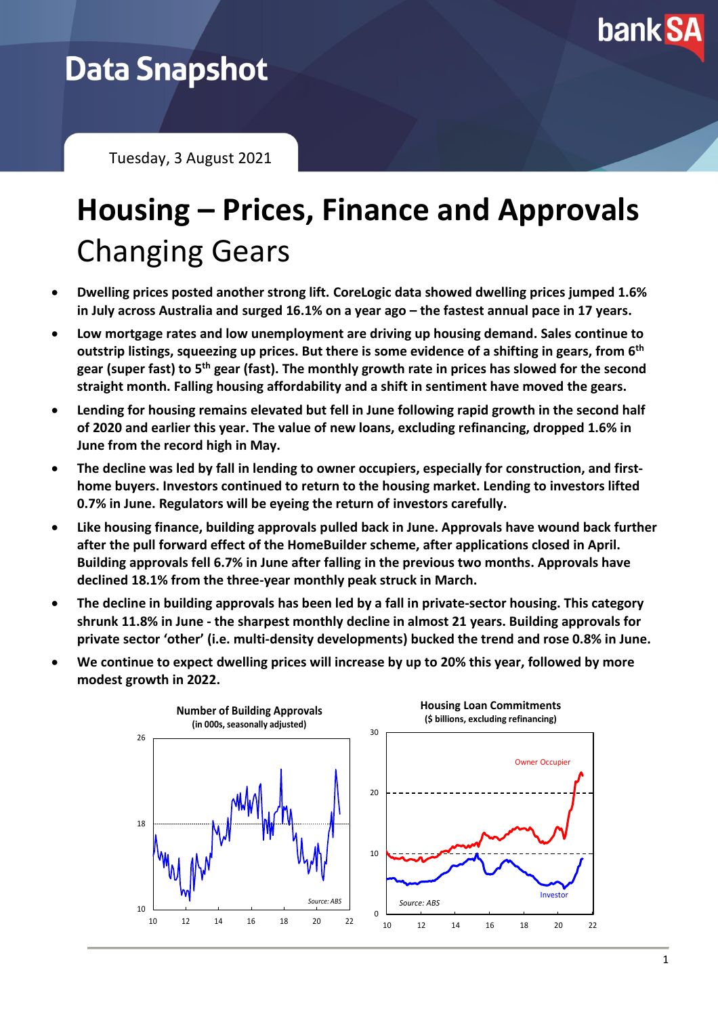

## **Data Snapshot**

Tuesday, 3 August 2021

# **Housing – Prices, Finance and Approvals** Changing Gears

- **Dwelling prices posted another strong lift. CoreLogic data showed dwelling prices jumped 1.6% in July across Australia and surged 16.1% on a year ago – the fastest annual pace in 17 years.**
- **Low mortgage rates and low unemployment are driving up housing demand. Sales continue to outstrip listings, squeezing up prices. But there is some evidence of a shifting in gears, from 6 th gear (super fast) to 5 th gear (fast). The monthly growth rate in prices has slowed for the second straight month. Falling housing affordability and a shift in sentiment have moved the gears.**
- **Lending for housing remains elevated but fell in June following rapid growth in the second half of 2020 and earlier this year. The value of new loans, excluding refinancing, dropped 1.6% in June from the record high in May.**
- **The decline was led by fall in lending to owner occupiers, especially for construction, and firsthome buyers. Investors continued to return to the housing market. Lending to investors lifted 0.7% in June. Regulators will be eyeing the return of investors carefully.**
- **Like housing finance, building approvals pulled back in June. Approvals have wound back further after the pull forward effect of the HomeBuilder scheme, after applications closed in April. Building approvals fell 6.7% in June after falling in the previous two months. Approvals have declined 18.1% from the three-year monthly peak struck in March.**
- **The decline in building approvals has been led by a fall in private-sector housing. This category shrunk 11.8% in June - the sharpest monthly decline in almost 21 years. Building approvals for private sector 'other' (i.e. multi-density developments) bucked the trend and rose 0.8% in June.**
- **We continue to expect dwelling prices will increase by up to 20% this year, followed by more modest growth in 2022.**

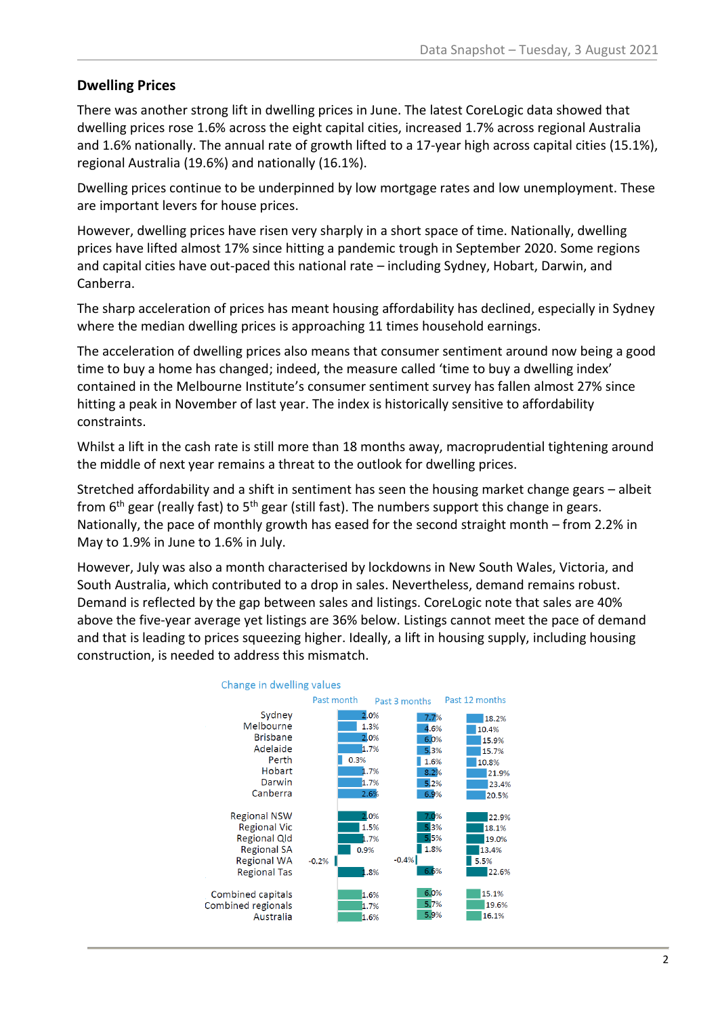#### **Dwelling Prices**

There was another strong lift in dwelling prices in June. The latest CoreLogic data showed that dwelling prices rose 1.6% across the eight capital cities, increased 1.7% across regional Australia and 1.6% nationally. The annual rate of growth lifted to a 17-year high across capital cities (15.1%), regional Australia (19.6%) and nationally (16.1%).

Dwelling prices continue to be underpinned by low mortgage rates and low unemployment. These are important levers for house prices.

However, dwelling prices have risen very sharply in a short space of time. Nationally, dwelling prices have lifted almost 17% since hitting a pandemic trough in September 2020. Some regions and capital cities have out-paced this national rate – including Sydney, Hobart, Darwin, and Canberra.

The sharp acceleration of prices has meant housing affordability has declined, especially in Sydney where the median dwelling prices is approaching 11 times household earnings.

The acceleration of dwelling prices also means that consumer sentiment around now being a good time to buy a home has changed; indeed, the measure called 'time to buy a dwelling index' contained in the Melbourne Institute's consumer sentiment survey has fallen almost 27% since hitting a peak in November of last year. The index is historically sensitive to affordability constraints.

Whilst a lift in the cash rate is still more than 18 months away, macroprudential tightening around the middle of next year remains a threat to the outlook for dwelling prices.

Stretched affordability and a shift in sentiment has seen the housing market change gears – albeit from 6<sup>th</sup> gear (really fast) to 5<sup>th</sup> gear (still fast). The numbers support this change in gears. Nationally, the pace of monthly growth has eased for the second straight month – from 2.2% in May to 1.9% in June to 1.6% in July.

However, July was also a month characterised by lockdowns in New South Wales, Victoria, and South Australia, which contributed to a drop in sales. Nevertheless, demand remains robust. Demand is reflected by the gap between sales and listings. CoreLogic note that sales are 40% above the five-year average yet listings are 36% below. Listings cannot meet the pace of demand and that is leading to prices squeezing higher. Ideally, a lift in housing supply, including housing construction, is needed to address this mismatch.

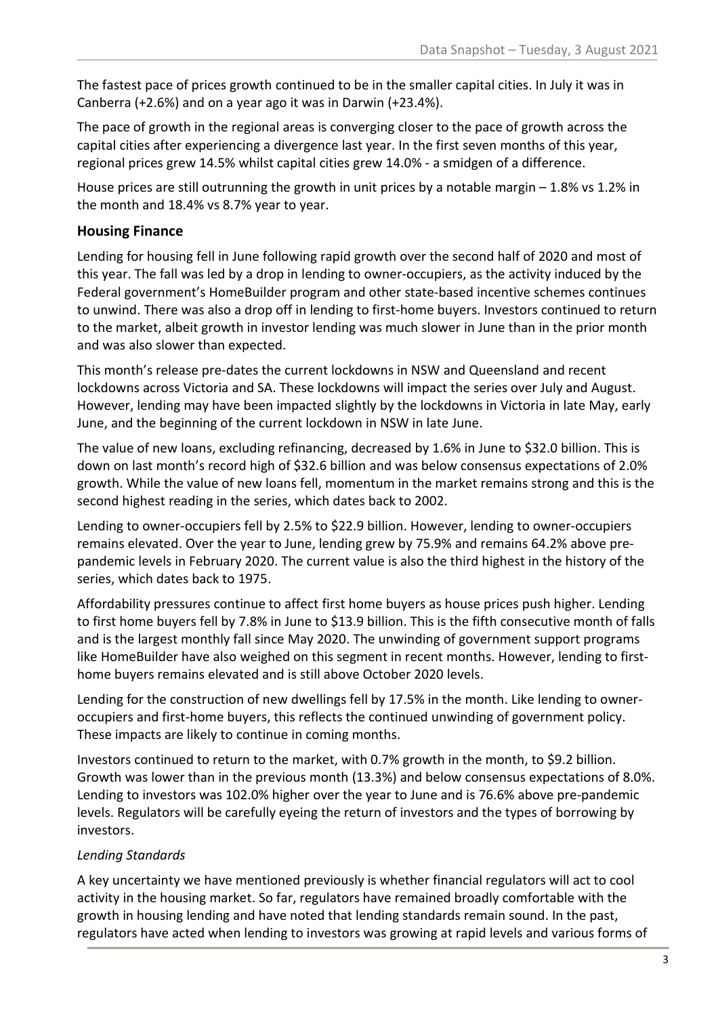The fastest pace of prices growth continued to be in the smaller capital cities. In July it was in Canberra (+2.6%) and on a year ago it was in Darwin (+23.4%).

The pace of growth in the regional areas is converging closer to the pace of growth across the capital cities after experiencing a divergence last year. In the first seven months of this year, regional prices grew 14.5% whilst capital cities grew 14.0% - a smidgen of a difference.

House prices are still outrunning the growth in unit prices by a notable margin  $-1.8\%$  vs 1.2% in the month and 18.4% vs 8.7% year to year.

### **Housing Finance**

Lending for housing fell in June following rapid growth over the second half of 2020 and most of this year. The fall was led by a drop in lending to owner-occupiers, as the activity induced by the Federal government's HomeBuilder program and other state-based incentive schemes continues to unwind. There was also a drop off in lending to first-home buyers. Investors continued to return to the market, albeit growth in investor lending was much slower in June than in the prior month and was also slower than expected.

This month's release pre-dates the current lockdowns in NSW and Queensland and recent lockdowns across Victoria and SA. These lockdowns will impact the series over July and August. However, lending may have been impacted slightly by the lockdowns in Victoria in late May, early June, and the beginning of the current lockdown in NSW in late June.

The value of new loans, excluding refinancing, decreased by 1.6% in June to \$32.0 billion. This is down on last month's record high of \$32.6 billion and was below consensus expectations of 2.0% growth. While the value of new loans fell, momentum in the market remains strong and this is the second highest reading in the series, which dates back to 2002.

Lending to owner-occupiers fell by 2.5% to \$22.9 billion. However, lending to owner-occupiers remains elevated. Over the year to June, lending grew by 75.9% and remains 64.2% above prepandemic levels in February 2020. The current value is also the third highest in the history of the series, which dates back to 1975.

Affordability pressures continue to affect first home buyers as house prices push higher. Lending to first home buyers fell by 7.8% in June to \$13.9 billion. This is the fifth consecutive month of falls and is the largest monthly fall since May 2020. The unwinding of government support programs like HomeBuilder have also weighed on this segment in recent months. However, lending to firsthome buyers remains elevated and is still above October 2020 levels.

Lending for the construction of new dwellings fell by 17.5% in the month. Like lending to owneroccupiers and first-home buyers, this reflects the continued unwinding of government policy. These impacts are likely to continue in coming months.

Investors continued to return to the market, with 0.7% growth in the month, to \$9.2 billion. Growth was lower than in the previous month (13.3%) and below consensus expectations of 8.0%. Lending to investors was 102.0% higher over the year to June and is 76.6% above pre-pandemic levels. Regulators will be carefully eyeing the return of investors and the types of borrowing by investors.

#### *Lending Standards*

A key uncertainty we have mentioned previously is whether financial regulators will act to cool activity in the housing market. So far, regulators have remained broadly comfortable with the growth in housing lending and have noted that lending standards remain sound. In the past, regulators have acted when lending to investors was growing at rapid levels and various forms of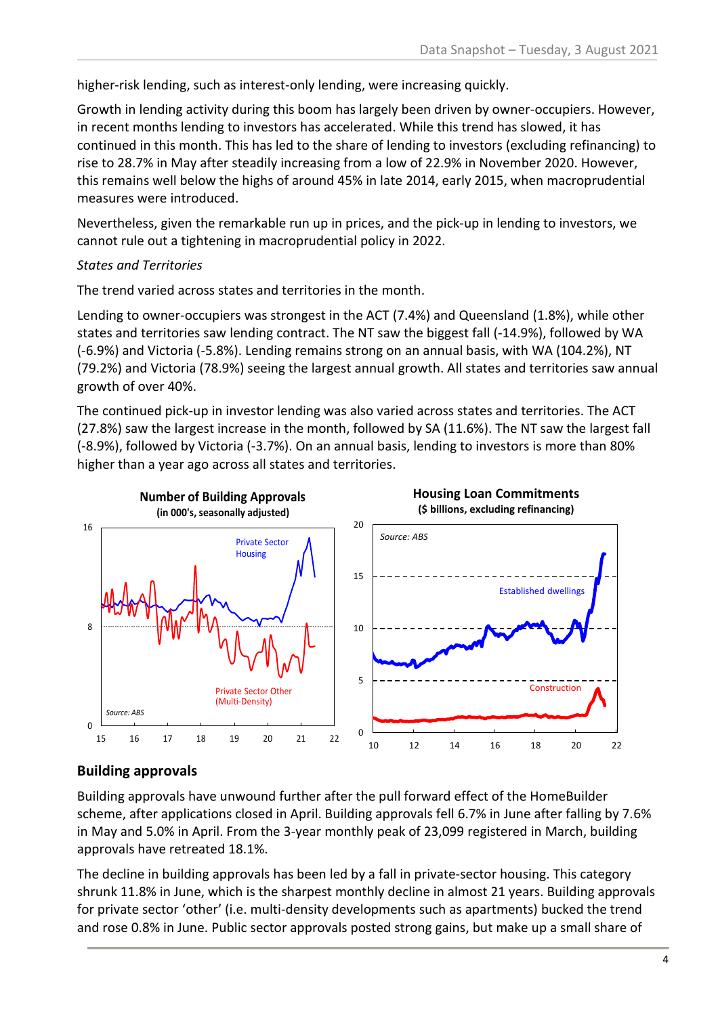higher-risk lending, such as interest-only lending, were increasing quickly.

Growth in lending activity during this boom has largely been driven by owner-occupiers. However, in recent months lending to investors has accelerated. While this trend has slowed, it has continued in this month. This has led to the share of lending to investors (excluding refinancing) to rise to 28.7% in May after steadily increasing from a low of 22.9% in November 2020. However, this remains well below the highs of around 45% in late 2014, early 2015, when macroprudential measures were introduced.

Nevertheless, given the remarkable run up in prices, and the pick-up in lending to investors, we cannot rule out a tightening in macroprudential policy in 2022.

#### *States and Territories*

The trend varied across states and territories in the month.

Lending to owner-occupiers was strongest in the ACT (7.4%) and Queensland (1.8%), while other states and territories saw lending contract. The NT saw the biggest fall (-14.9%), followed by WA (-6.9%) and Victoria (-5.8%). Lending remains strong on an annual basis, with WA (104.2%), NT (79.2%) and Victoria (78.9%) seeing the largest annual growth. All states and territories saw annual growth of over 40%.

The continued pick-up in investor lending was also varied across states and territories. The ACT (27.8%) saw the largest increase in the month, followed by SA (11.6%). The NT saw the largest fall (-8.9%), followed by Victoria (-3.7%). On an annual basis, lending to investors is more than 80% higher than a year ago across all states and territories.



### **Building approvals**

Building approvals have unwound further after the pull forward effect of the HomeBuilder scheme, after applications closed in April. Building approvals fell 6.7% in June after falling by 7.6% in May and 5.0% in April. From the 3-year monthly peak of 23,099 registered in March, building approvals have retreated 18.1%.

The decline in building approvals has been led by a fall in private-sector housing. This category shrunk 11.8% in June, which is the sharpest monthly decline in almost 21 years. Building approvals for private sector 'other' (i.e. multi-density developments such as apartments) bucked the trend and rose 0.8% in June. Public sector approvals posted strong gains, but make up a small share of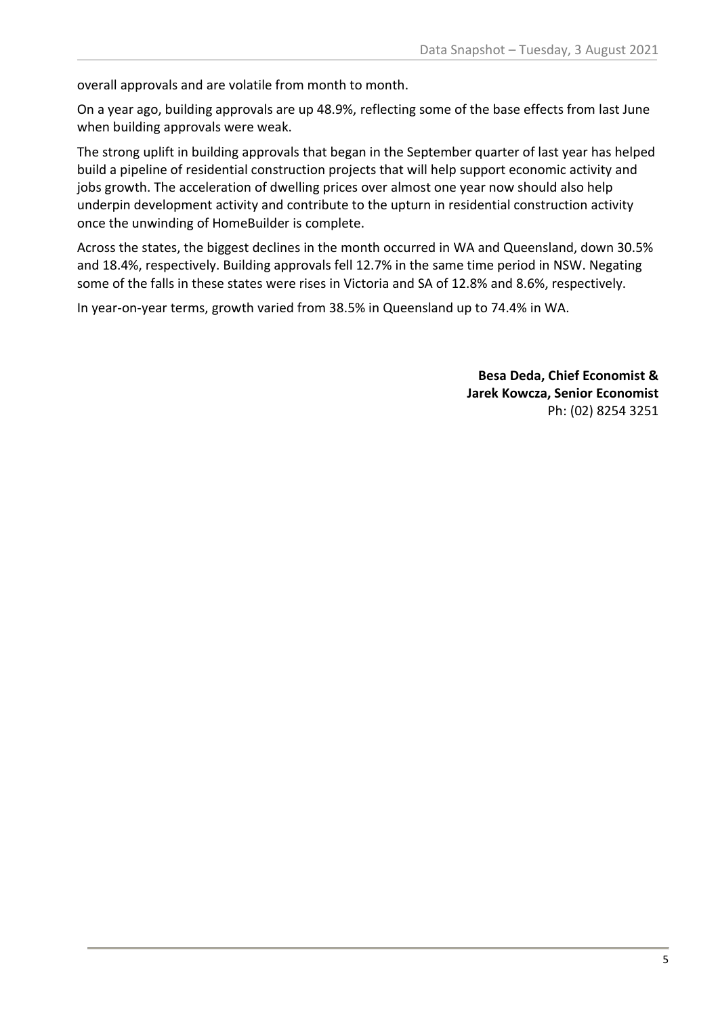overall approvals and are volatile from month to month.

On a year ago, building approvals are up 48.9%, reflecting some of the base effects from last June when building approvals were weak.

The strong uplift in building approvals that began in the September quarter of last year has helped build a pipeline of residential construction projects that will help support economic activity and jobs growth. The acceleration of dwelling prices over almost one year now should also help underpin development activity and contribute to the upturn in residential construction activity once the unwinding of HomeBuilder is complete.

Across the states, the biggest declines in the month occurred in WA and Queensland, down 30.5% and 18.4%, respectively. Building approvals fell 12.7% in the same time period in NSW. Negating some of the falls in these states were rises in Victoria and SA of 12.8% and 8.6%, respectively.

In year-on-year terms, growth varied from 38.5% in Queensland up to 74.4% in WA.

**Besa Deda, Chief Economist & Jarek Kowcza, Senior Economist** Ph: (02) 8254 3251